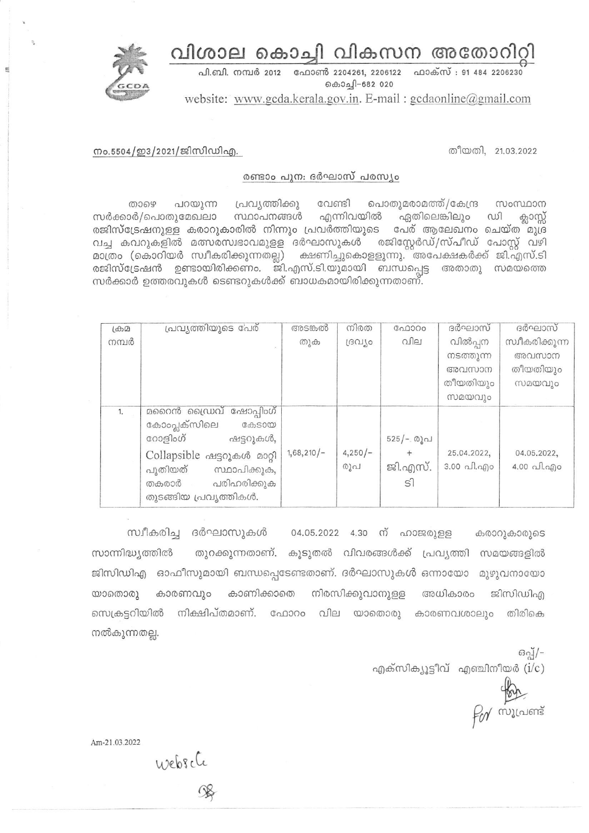വിശാല കൊച്ചി വികസന അതോറിറ്റി



പി.ബി. നമ്പർ 2012 ഫോൺ 2204261, 2206122 ഫാക്സ് : 91 484 2206230 കൊച്ചി-682 020

website: www.gcda.kerala.gov.in. E-mail: gcdaonline@gmail.com

## നം.5504/ഇ3/2021/ജിസിഡിഎ.

തീയതി, 21.03.2022

## രണ്ടാം പുന: ദർഘാസ് പരസ്യം

വേണ്ടി പൊതുമരാമത്ത്/കേന്ദ്ര പറയുന്ന പ്രവ്യത്തിക്കു സംസ്ഥാന கை സർക്കാർ/പൊതുമേഖലാ എന്നിവയിൽ സ്ഥാപനങ്ങൾ ഏതിലെങ്കിലും ഡി ക്ലാസ്സ് രജിസ്ട്രേഷനുള്ള കരാറുകാരിൽ നിന്നും പ്രവർത്തിയുടെ പേര് ആലേഖനം ചെയ്ത<sup>്</sup>മുദ്ര വച്ച കവറുകളിൽ മത്സരസ്വഭാവമുളള ദർഘാസുകൾ രജിസ്റ്റേർഡ്/സ്പീഡ് പോസ്റ്റ് വഴി മാത്രം (കൊറിയർ സ്വീകരിക്കുന്നതല്ല) ക്ഷണിച്ചുകൊളളുന്നു. അപേക്ഷകർക്ക് ജി.എസ്.ടി രജിസ്ട്രേഷൻ ഉണ്ടായിരിക്കണം. ജി.എസ്.ടി.യുമായി ബന്ധപ്പെട്ട അതാതു സമയത്തെ സർക്കാർ ഉത്തരവുകൾ ടെണ്ടറുകൾക്ക് ബാധകമായിരിക്കുന്നതാണ്.

| LdD   | പ്രവ്യത്തിയുടെ പേര്                                                                                     | അടങ്കൽ       | നിരത             | ഫോറം                      | ദർഘാസ്                                 | ദർഘാസ്                                 |
|-------|---------------------------------------------------------------------------------------------------------|--------------|------------------|---------------------------|----------------------------------------|----------------------------------------|
| നമ്പർ |                                                                                                         | തുക          | [30]             | വില                       | വിൽപ്പന                                | സ്വീകരിക്കുന്ന                         |
|       |                                                                                                         |              |                  |                           | നടത്തുന്ന                              | അവസാന                                  |
|       |                                                                                                         |              |                  |                           | അവസാന                                  | തീയതിയും                               |
|       |                                                                                                         |              |                  |                           | തീയതിയും                               | സമയവും                                 |
|       |                                                                                                         |              |                  |                           | സമയവും                                 |                                        |
| 1.    | മറൈൻ ഡ്രൈവ് ഷോപ്പിംഗ്<br>കോംപ്ലക്സിലെ<br><b>G</b> obS000                                                |              |                  |                           |                                        |                                        |
|       | റോളിംഗ്<br>ഷട്ടറുകൾ,                                                                                    |              |                  | 525/- രൂപ                 |                                        |                                        |
|       | Collapsible ഷട്ടറുകൾ മാറ്റി<br>സ്ഥാപിക്കുക,<br>പുതിയത്<br>പരിഹരിക്കുക<br>തകരാർ<br>തുടങ്ങിയ പ്രവൃത്തികൾ. | $1,68,210/-$ | $4,250/-$<br>രൂപ | ജി.എസ്.<br>S <sup>1</sup> | 25.04.2022,<br>$3.00 \text{ all.}$ ano | 04.05.2022,<br>$4.00 \text{ and } q_0$ |

സ്വീകരിച്ച ദർഘാസുകൾ 04.05.2022 4.30 ന് ഹാജരുള്ള കരാറുകാരുടെ തുറക്കുന്നതാണ്. കൂടുതൽ വിവരങ്ങൾക്ക് പ്രവ്യത്തി സമയങ്ങളിൽ സാന്നിദ്ധ്യത്തിൽ ജിസിഡിഎ ഓഫീസുമായി ബന്ധപ്പെടേണ്ടതാണ്. ദർഘാസുകൾ ഒന്നായോ മുഴുവനായോ കാരണവും കാണിക്കാതെ നിരസിക്കുവാനുളള അധികാരം യാതൊരു ജിസിഡിഎ സെക്രട്ടറിയിൽ നിക്ഷിപ്തമാണ്. ഫോറം വില യാതൊരു കാരണവശാലും തിരികെ നൽകുന്നതല്ല.

 $60 - 7 -$ എക്സിക്യൂട്ടീവ് എഞ്ചിനീയർ $(i/c)$ 

Por millions

Am-21.03.2022

websche